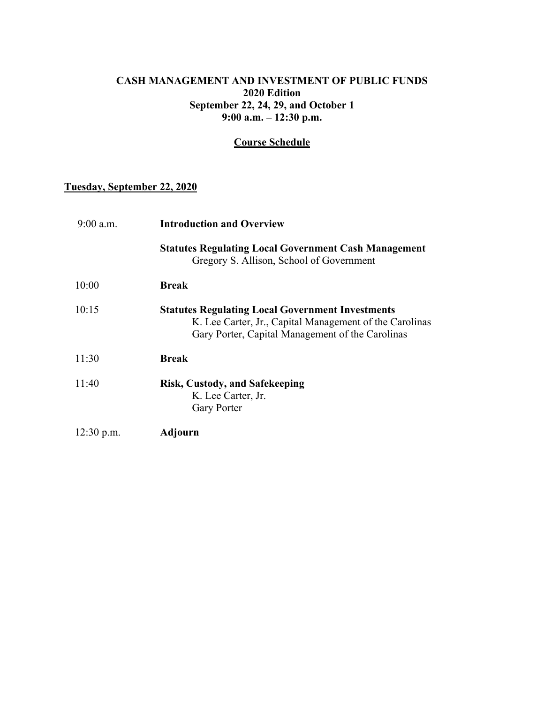#### **CASH MANAGEMENT AND INVESTMENT OF PUBLIC FUNDS 2020 Edition September 22, 24, 29, and October 1 9:00 a.m. – 12:30 p.m.**

### **Course Schedule**

## **Tuesday, September 22, 2020**

| $9:00$ a.m.  | <b>Introduction and Overview</b>                                                                                                                                       |
|--------------|------------------------------------------------------------------------------------------------------------------------------------------------------------------------|
|              | <b>Statutes Regulating Local Government Cash Management</b><br>Gregory S. Allison, School of Government                                                                |
| 10:00        | <b>Break</b>                                                                                                                                                           |
| 10:15        | <b>Statutes Regulating Local Government Investments</b><br>K. Lee Carter, Jr., Capital Management of the Carolinas<br>Gary Porter, Capital Management of the Carolinas |
| 11:30        | <b>Break</b>                                                                                                                                                           |
| 11:40        | <b>Risk, Custody, and Safekeeping</b><br>K. Lee Carter, Jr.<br><b>Gary Porter</b>                                                                                      |
| $12:30$ p.m. | Adjourn                                                                                                                                                                |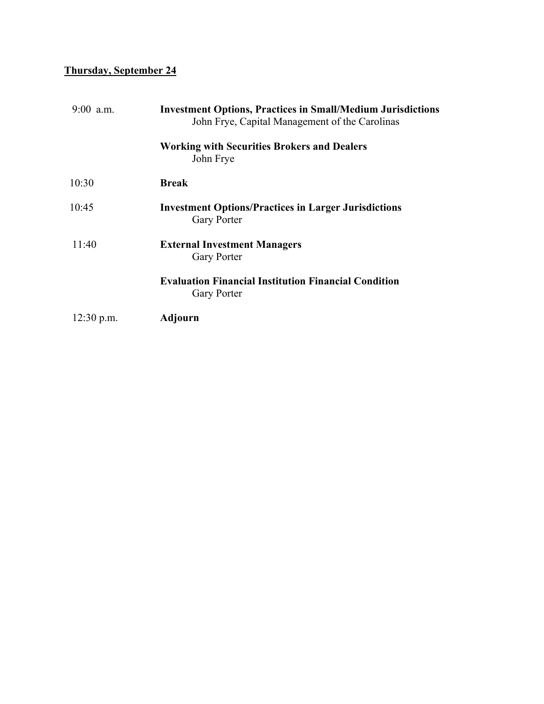# **Thursday, September 24**

| $9:00$ a.m.  | <b>Investment Options, Practices in Small/Medium Jurisdictions</b><br>John Frye, Capital Management of the Carolinas |
|--------------|----------------------------------------------------------------------------------------------------------------------|
|              | <b>Working with Securities Brokers and Dealers</b><br>John Frye                                                      |
| 10:30        | <b>Break</b>                                                                                                         |
| 10:45        | <b>Investment Options/Practices in Larger Jurisdictions</b><br><b>Gary Porter</b>                                    |
| 11:40        | <b>External Investment Managers</b><br><b>Gary Porter</b>                                                            |
|              | <b>Evaluation Financial Institution Financial Condition</b><br><b>Gary Porter</b>                                    |
| $12:30$ p.m. | Adjourn                                                                                                              |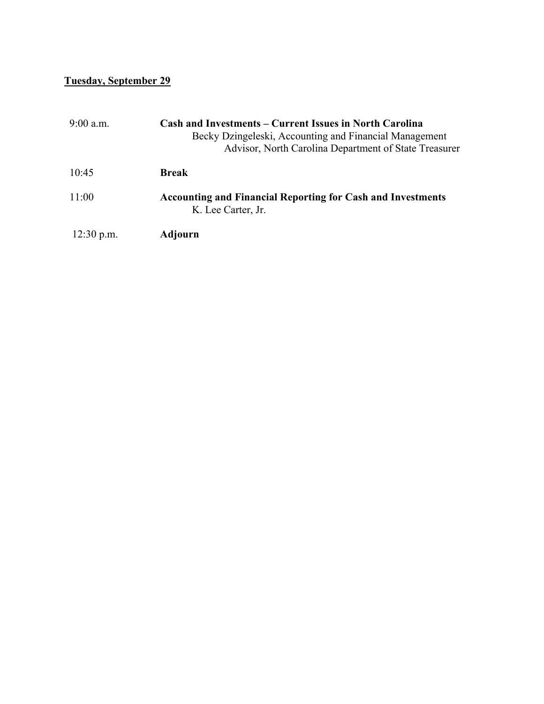# **Tuesday, September 29**

| $9:00$ a.m.  | <b>Cash and Investments – Current Issues in North Carolina</b><br>Becky Dzingeleski, Accounting and Financial Management<br>Advisor, North Carolina Department of State Treasurer |
|--------------|-----------------------------------------------------------------------------------------------------------------------------------------------------------------------------------|
| 10:45        | Break                                                                                                                                                                             |
| 11:00        | <b>Accounting and Financial Reporting for Cash and Investments</b><br>K. Lee Carter, Jr.                                                                                          |
| $12:30$ p.m. | Adjourn                                                                                                                                                                           |